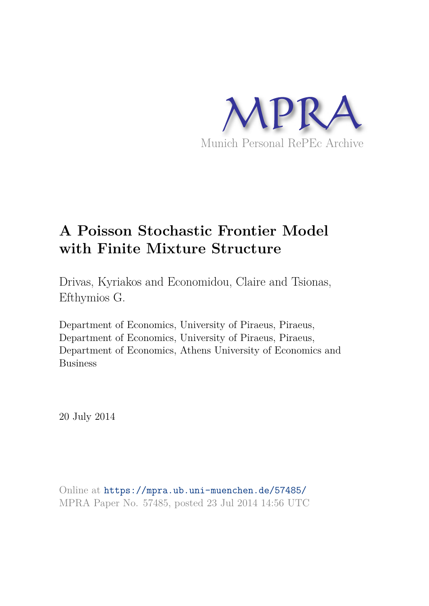

# **A Poisson Stochastic Frontier Model with Finite Mixture Structure**

Drivas, Kyriakos and Economidou, Claire and Tsionas, Efthymios G.

Department of Economics, University of Piraeus, Piraeus, Department of Economics, University of Piraeus, Piraeus, Department of Economics, Athens University of Economics and Business

20 July 2014

Online at https://mpra.ub.uni-muenchen.de/57485/ MPRA Paper No. 57485, posted 23 Jul 2014 14:56 UTC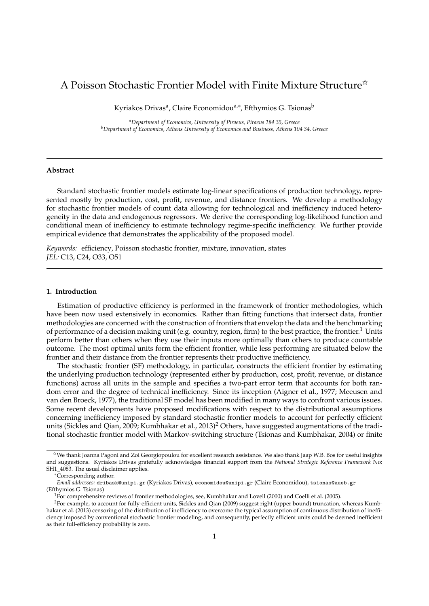# A Poisson Stochastic Frontier Model with Finite Mixture Structure $\hat{X}$

Kyriakos Drivas<sup>a</sup>, Claire Economidou<sup>a,∗</sup>, Efthymios G. Tsionas<sup>b</sup>

*<sup>a</sup>Department of Economics, University of Piraeus, Piraeus 184 35, Greece <sup>b</sup>Department of Economics, Athens University of Economics and Business, Athens 104 34, Greece*

### **Abstract**

Standard stochastic frontier models estimate log-linear specifications of production technology, represented mostly by production, cost, profit, revenue, and distance frontiers. We develop a methodology for stochastic frontier models of count data allowing for technological and inefficiency induced heterogeneity in the data and endogenous regressors. We derive the corresponding log-likelihood function and conditional mean of inefficiency to estimate technology regime-specific inefficiency. We further provide empirical evidence that demonstrates the applicability of the proposed model.

*Keywords:* efficiency, Poisson stochastic frontier, mixture, innovation, states *JEL:* C13, C24, O33, O51

#### **1. Introduction**

Estimation of productive efficiency is performed in the framework of frontier methodologies, which have been now used extensively in economics. Rather than fitting functions that intersect data, frontier methodologies are concerned with the construction of frontiers that envelop the data and the benchmarking of performance of a decision making unit (e.g. country, region, firm) to the best practice, the frontier.<sup>1</sup> Units perform better than others when they use their inputs more optimally than others to produce countable outcome. The most optimal units form the efficient frontier, while less performing are situated below the frontier and their distance from the frontier represents their productive inefficiency.

The stochastic frontier (SF) methodology, in particular, constructs the efficient frontier by estimating the underlying production technology (represented either by production, cost, profit, revenue, or distance functions) across all units in the sample and specifies a two-part error term that accounts for both random error and the degree of technical inefficiency. Since its inception (Aigner et al., 1977; Meeusen and van den Broeck, 1977), the traditional SF model has been modified in many ways to confront various issues. Some recent developments have proposed modifications with respect to the distributional assumptions concerning inefficiency imposed by standard stochastic frontier models to account for perfectly efficient units (Sickles and Qian, 2009; Kumbhakar et al., 2013)<sup>2</sup> Others, have suggested augmentations of the traditional stochastic frontier model with Markov-switching structure (Tsionas and Kumbhakar, 2004) or finite

 $*$ We thank Joanna Pagoni and Zoi Georgiopoulou for excellent research assistance. We also thank Jaap W.B. Bos for useful insights and suggestions. Kyriakos Drivas gratefully acknowledges financial support from the *National Strategic Reference Framework* No: SH1\_4083. The usual disclaimer applies.

<sup>∗</sup>Corresponding author.

*Email addresses:* dribask@unipi.gr (Kyriakos Drivas), economidou@unipi.gr (Claire Economidou), tsionas@aueb.gr (Efthymios G. Tsionas)

 $1$ For comprehensive reviews of frontier methodologies, see, Kumbhakar and Lovell (2000) and Coelli et al. (2005).

<sup>&</sup>lt;sup>2</sup>For example, to account for fully-efficient units, Sickles and Qian (2009) suggest right (upper bound) truncation, whereas Kumbhakar et al. (2013) censoring of the distribution of inefficiency to overcome the typical assumption of continuous distribution of inefficiency imposed by conventional stochastic frontier modeling, and consequently, perfectly efficient units could be deemed inefficient as their full-efficiency probability is zero.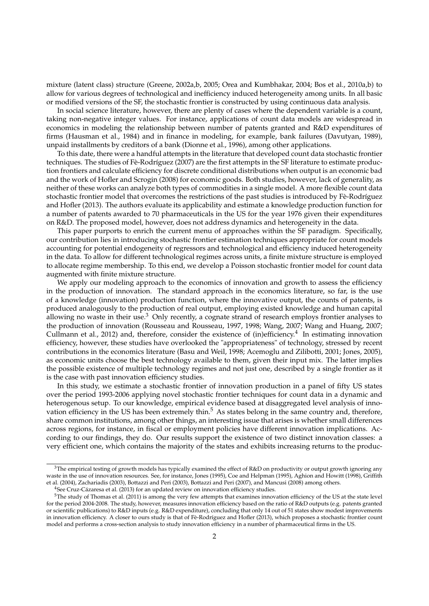mixture (latent class) structure (Greene, 2002a,b, 2005; Orea and Kumbhakar, 2004; Bos et al., 2010a,b) to allow for various degrees of technological and inefficiency induced heterogeneity among units. In all basic or modified versions of the SF, the stochastic frontier is constructed by using continuous data analysis.

In social science literature, however, there are plenty of cases where the dependent variable is a count, taking non-negative integer values. For instance, applications of count data models are widespread in economics in modeling the relationship between number of patents granted and R&D expenditures of firms (Hausman et al., 1984) and in finance in modeling, for example, bank failures (Davutyan, 1989), unpaid installments by creditors of a bank (Dionne et al., 1996), among other applications.

To this date, there were a handful attempts in the literature that developed count data stochastic frontier techniques. The studies of Fè-Rodríguez (2007) are the first attempts in the SF literature to estimate production frontiers and calculate efficiency for discrete conditional distributions when output is an economic bad and the work of Hofler and Scrogin (2008) for economic goods. Both studies, however, lack of generality, as neither of these works can analyze both types of commodities in a single model. A more flexible count data stochastic frontier model that overcomes the restrictions of the past studies is introduced by Fè-Rodríguez and Hofler (2013). The authors evaluate its applicability and estimate a knowledge production function for a number of patents awarded to 70 pharmaceuticals in the US for the year 1976 given their expenditures on R&D. The proposed model, however, does not address dynamics and heterogeneity in the data.

This paper purports to enrich the current menu of approaches within the SF paradigm. Specifically, our contribution lies in introducing stochastic frontier estimation techniques appropriate for count models accounting for potential endogeneity of regressors and technological and efficiency induced heterogeneity in the data. To allow for different technological regimes across units, a finite mixture structure is employed to allocate regime membership. To this end, we develop a Poisson stochastic frontier model for count data augmented with finite mixture structure.

We apply our modeling approach to the economics of innovation and growth to assess the efficiency in the production of innovation. The standard approach in the economics literature, so far, is the use of a knowledge (innovation) production function, where the innovative output, the counts of patents, is produced analogously to the production of real output, employing existed knowledge and human capital allowing no waste in their use. $3$  Only recently, a cognate strand of research employs frontier analyses to the production of innovation (Rousseau and Rousseau, 1997, 1998; Wang, 2007; Wang and Huang, 2007; Cullmann et al., 2012) and, therefore, consider the existence of (in)efficiency.<sup>4</sup> In estimating innovation efficiency, however, these studies have overlooked the "appropriateness" of technology, stressed by recent contributions in the economics literature (Basu and Weil, 1998; Acemoglu and Zilibotti, 2001; Jones, 2005), as economic units choose the best technology available to them, given their input mix. The latter implies the possible existence of multiple technology regimes and not just one, described by a single frontier as it is the case with past innovation efficiency studies.

In this study, we estimate a stochastic frontier of innovation production in a panel of fifty US states over the period 1993-2006 applying novel stochastic frontier techniques for count data in a dynamic and heterogenous setup. To our knowledge, empirical evidence based at disaggregated level analysis of innovation efficiency in the US has been extremely thin.<sup>5</sup> As states belong in the same country and, therefore, share common institutions, among other things, an interesting issue that arises is whether small differences across regions, for instance, in fiscal or employment policies have different innovation implications. According to our findings, they do. Our results support the existence of two distinct innovation classes: a very efficient one, which contains the majority of the states and exhibits increasing returns to the produc-

 $3$ The empirical testing of growth models has typically examined the effect of R&D on productivity or output growth ignoring any waste in the use of innovation resources. See, for instance, Jones (1995), Coe and Helpman (1995), Aghion and Howitt (1998), Griffith et al. (2004), Zachariadis (2003), Bottazzi and Peri (2003), Bottazzi and Peri (2007), and Mancusi (2008) among others.

 $^4$ See Cruz-Cázaresa et al. (2013) for an updated review on innovation efficiency studies.

 $5$ The study of Thomas et al. (2011) is among the very few attempts that examines innovation efficiency of the US at the state level for the period 2004-2008. The study, however, measures innovation efficiency based on the ratio of R&D outputs (e.g. patents granted or scientific publications) to R&D inputs (e.g. R&D expenditure), concluding that only 14 out of 51 states show modest improvements in innovation efficiency. A closer to ours study is that of Fè-Rodríguez and Hofler (2013), which proposes a stochastic frontier count model and performs a cross-section analysis to study innovation efficiency in a number of pharmaceutical firms in the US.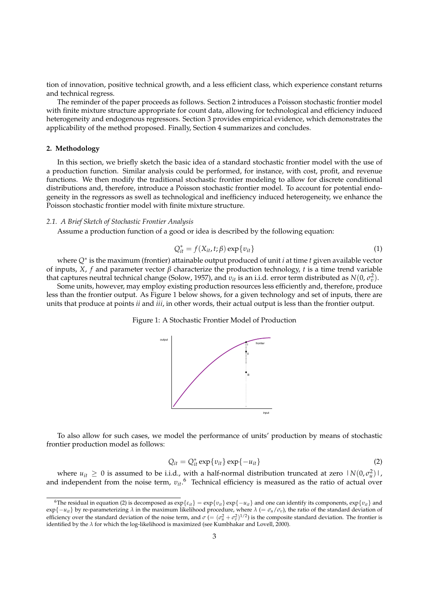tion of innovation, positive technical growth, and a less efficient class, which experience constant returns and technical regress.

The reminder of the paper proceeds as follows. Section 2 introduces a Poisson stochastic frontier model with finite mixture structure appropriate for count data, allowing for technological and efficiency induced heterogeneity and endogenous regressors. Section 3 provides empirical evidence, which demonstrates the applicability of the method proposed. Finally, Section 4 summarizes and concludes.

#### **2. Methodology**

In this section, we briefly sketch the basic idea of a standard stochastic frontier model with the use of a production function. Similar analysis could be performed, for instance, with cost, profit, and revenue functions. We then modify the traditional stochastic frontier modeling to allow for discrete conditional distributions and, therefore, introduce a Poisson stochastic frontier model. To account for potential endogeneity in the regressors as swell as technological and inefficiency induced heterogeneity, we enhance the Poisson stochastic frontier model with finite mixture structure.

#### *2.1. A Brief Sketch of Stochastic Frontier Analysis*

Assume a production function of a good or idea is described by the following equation:

$$
Q_{it}^* = f(X_{it}, t; \beta) \exp\{v_{it}\}\tag{1}
$$

where *Q*<sup>∗</sup> is the maximum (frontier) attainable output produced of unit *i* at time *t* given available vector of inputs, *X*, *f* and parameter vector *β* characterize the production technology, *t* is a time trend variable that captures neutral technical change (Solow, 1957), and  $v_{it}$  is an i.i.d. error term distributed as  $N(0, \sigma_v^2)$ .

Some units, however, may employ existing production resources less efficiently and, therefore, produce less than the frontier output. As Figure 1 below shows, for a given technology and set of inputs, there are units that produce at points *ii* and *iii*, in other words, their actual output is less than the frontier output.

#### Figure 1: A Stochastic Frontier Model of Production



To also allow for such cases, we model the performance of units' production by means of stochastic frontier production model as follows:

$$
Q_{it} = Q_{it}^* \exp\{v_{it}\} \exp\{-u_{it}\}\tag{2}
$$

where  $u_{it} \geq 0$  is assumed to be i.i.d., with a half-normal distribution truncated at zero  $|N(0, \sigma_u^2)|$ , and independent from the noise term,  $v_{it}$ .<sup>6</sup> Technical efficiency is measured as the ratio of actual over

<sup>6</sup>The residual in equation (2) is decomposed as exp{*εit*} = exp{*υit*} exp{−*uit*} and one can identify its components, exp{*υit*} and exp{ $-u_{it}$ } by re-parameterizing *λ* in the maximum likelihood procedure, where *λ* (=  $\sigma_u / \sigma_v$ ), the ratio of the standard deviation of efficiency over the standard deviation of the noise term, and  $\sigma = (\sigma_u^2 + \sigma_v^2)^{1/2}$  is the composite standard deviation. The frontier is identified by the *λ* for which the log-likelihood is maximized (see Kumbhakar and Lovell, 2000).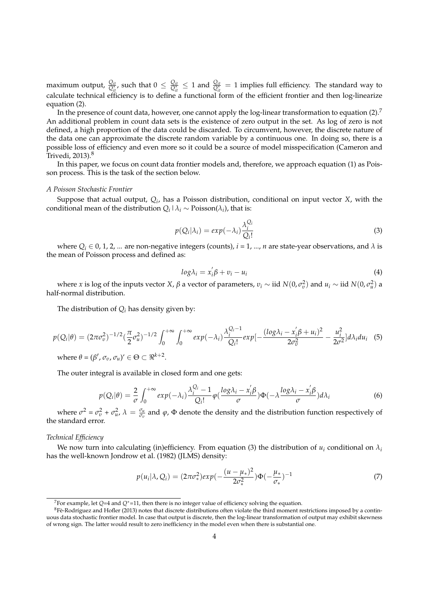maximum output,  $\frac{Q_{it}}{Q_{it}^*}$ , such that  $0 \leq \frac{Q_{it}}{Q_{it}^*} \leq 1$  and  $\frac{Q_{it}}{Q_{it}^*} = 1$  implies full efficiency. The standard way to calculate technical efficiency is to define a functional form of the efficient frontier and then log-linearize equation (2).

In the presence of count data, however, one cannot apply the log-linear transformation to equation (2).<sup>7</sup> An additional problem in count data sets is the existence of zero output in the set. As log of zero is not defined, a high proportion of the data could be discarded. To circumvent, however, the discrete nature of the data one can approximate the discrete random variable by a continuous one. In doing so, there is a possible loss of efficiency and even more so it could be a source of model misspecification (Cameron and Trivedi, 2013).<sup>8</sup>

In this paper, we focus on count data frontier models and, therefore, we approach equation (1) as Poisson process. This is the task of the section below.

#### *A Poisson Stochastic Frontier*

Suppose that actual output, *Q<sup>i</sup>* , has a Poisson distribution, conditional on input vector *X*, with the conditional mean of the distribution  $Q_i \mid \lambda_i \sim \text{Poisson}(\lambda_i)$ , that is:

$$
p(Q_i|\lambda_i) = exp(-\lambda_i) \frac{\lambda_i^{Q_i}}{Q_i!}
$$
\n(3)

where  $Q_i \in 0, 1, 2, ...$  are non-negative integers (counts),  $i = 1, ..., n$  are state-year observations, and  $\lambda$  is the mean of Poisson process and defined as:

$$
log \lambda_i = x_i' \beta + v_i - u_i \tag{4}
$$

*w*here *x* is log of the inputs vector *X*, *β* a vector of parameters, *ν*<sub>*i*</sub> ∼ iid *N*(0, *σ*<sup>2</sup><sub>*0*</sub>)</sub> and *u*<sub>*i*</sub> ∼ iid *N*(0, *σ*<sup>2</sup><sub>*a*</sub>)</sub> a half-normal distribution.

The distribution of  $Q_i$  has density given by:

$$
p(Q_i|\theta) = (2\pi\sigma_v^2)^{-1/2} \left(\frac{\pi}{2}\sigma_u^2\right)^{-1/2} \int_0^{+\infty} \int_0^{+\infty} \exp(-\lambda_i) \frac{\lambda_i^{Q_i - 1}}{Q_i!} \exp\left[-\frac{(\log\lambda_i - x_i'\beta + u_i)^2}{2\sigma_v^2} - \frac{u_i^2}{2\sigma^2} \right] d\lambda_i du_i \quad (5)
$$
  
where  $\theta = (\beta', \sigma_v, \sigma_u)' \in \Theta \subset \Re^{k+2}$ .

The outer integral is available in closed form and one gets:

$$
p(Q_i|\theta) = \frac{2}{\sigma} \int_0^{+\infty} exp(-\lambda_i) \frac{\lambda_i^{Q_i} - 1}{Q_i!} \varphi(\frac{\log \lambda_i - x_i' \beta}{\sigma}) \Phi(-\lambda \frac{\log \lambda_i - x_i' \beta}{\sigma}) d\lambda_i
$$
 (6)

where  $\sigma^2 = \sigma_v^2 + \sigma_u^2$ ,  $\lambda = \frac{\sigma_u}{\sigma_v}$  and  $\varphi$ ,  $\Phi$  denote the density and the distribution function respectively of the standard error.

#### *Technical Efficiency*

We now turn into calculating (in)efficiency. From equation (3) the distribution of  $u_i$  conditional on  $\lambda_i$ has the well-known Jondrow et al. (1982) (JLMS) density:

$$
p(u_i|\lambda, Q_i) = (2\pi\sigma_*^2)exp(-\frac{(u-\mu_*)^2}{2\sigma_*^2})\Phi(-\frac{\mu_*}{\sigma_*})^{-1}
$$
\n(7)

<sup>7</sup>For example, let *Q*=4 and *Q*∗=11, then there is no integer value of efficiency solving the equation.

 ${}^{8}$ Fè-Rodríguez and Hofler (2013) notes that discrete distributions often violate the third moment restrictions imposed by a continuous data stochastic frontier model. In case that output is discrete, then the log-linear transformation of output may exhibit skewness of wrong sign. The latter would result to zero inefficiency in the model even when there is substantial one.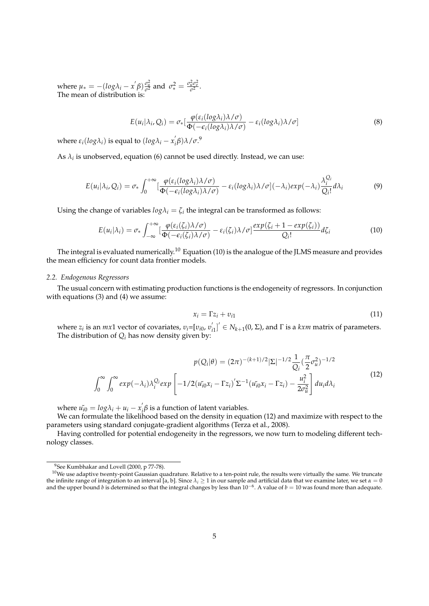where  $\mu_* = -(\log \lambda_i - x^i \beta) \frac{\sigma_u^2}{\sigma^2}$  and  $\sigma_*^2 = \frac{\sigma_u^2 \sigma_v^2}{\sigma^2}$ . The mean of distribution is:

$$
E(u_i|\lambda_i, Q_i) = \sigma_*\left[\frac{\varphi(\varepsilon_i(log\lambda_i)\lambda/\sigma)}{\Phi(-\varepsilon_i(log\lambda_i)\lambda/\sigma)} - \varepsilon_i(log\lambda_i)\lambda/\sigma\right]
$$
(8)

where  $\varepsilon_i(log\lambda_i)$  is equal to  $(log\lambda_i - x'_i)$ *i β*)*λ*/*σ*. 9

As  $\lambda_i$  is unobserved, equation (6) cannot be used directly. Instead, we can use:

$$
E(u_i|\lambda_i, Q_i) = \sigma_* \int_0^{+\infty} \left[ \frac{\varphi(\varepsilon_i(\log \lambda_i)\lambda/\sigma)}{\Phi(-\varepsilon_i(\log \lambda_i)\lambda/\sigma)} - \varepsilon_i(\log \lambda_i)\lambda/\sigma\right](-\lambda_i)exp(-\lambda_i) \frac{\lambda_i^{Q_i}}{Q_i!}d\lambda_i
$$
(9)

Using the change of variables  $log\lambda_i = \zeta_i$  the integral can be transformed as follows:

$$
E(u_i|\lambda_i) = \sigma_* \int_{-\infty}^{+\infty} \left[ \frac{\varphi(\varepsilon_i(\zeta_i)\lambda/\sigma)}{\Phi(-\varepsilon_i(\zeta_i)\lambda/\sigma)} - \varepsilon_i(\zeta_i)\lambda/\sigma \right] \frac{\exp(\zeta_i+1-\exp(\zeta_i))}{Q_i!} d\zeta_i \tag{10}
$$

The integral is evaluated numerically.<sup>10</sup> Equation (10) is the analogue of the JLMS measure and provides the mean efficiency for count data frontier models.

#### *2.2. Endogenous Regressors*

The usual concern with estimating production functions is the endogeneity of regressors. In conjunction with equations (3) and (4) we assume:

$$
x_i = \Gamma z_i + v_{i1} \tag{11}
$$

where  $z_i$  is an  $mx1$  vector of covariates,  $v_i = [v_{i0}, v_i']$  $S'_{i1}$ <sup> $\prime$ </sup>  $\in$  *N*<sub>*k*+1</sub>(0, Σ), and Γ is a *kxm* matrix of parameters. The distribution of *Q<sup>i</sup>* has now density given by:

$$
p(Q_i|\theta) = (2\pi)^{-(k+1)/2} |\Sigma|^{-1/2} \frac{1}{Q_i} (\frac{\pi}{2} \sigma_u^2)^{-1/2}
$$

$$
\int_0^\infty \int_0^\infty exp(-\lambda_i) \lambda_i^{Q_i} exp\left[-1/2(\tilde{u_{i0}x_i} - \Gamma z_i)'\Sigma^{-1}(\tilde{u_{i0}x_i} - \Gamma z_i) - \frac{u_i^2}{2\sigma_u^2}\right] du_i d\lambda_i
$$
(12)

where  $u_{i0}^* = log \lambda_i + u_i - x_i^*$  $\hat{\beta}$  is a function of latent variables.

We can formulate the likelihood based on the density in equation (12) and maximize with respect to the parameters using standard conjugate-gradient algorithms (Terza et al., 2008).

Having controlled for potential endogeneity in the regressors, we now turn to modeling different technology classes.

<sup>&</sup>lt;sup>9</sup>See Kumbhakar and Lovell (2000, p 77-78).

 $10$ We use adaptive twenty-point Gaussian quadrature. Relative to a ten-point rule, the results were virtually the same. We truncate the infinite range of integration to an interval [a, b]. Since  $\lambda_i \geq 1$  in our sample and artificial data that we examine later, we set  $\alpha = 0$ and the upper bound *b* is determined so that the integral changes by less than 10−<sup>6</sup> . A value of *b* = 10 was found more than adequate.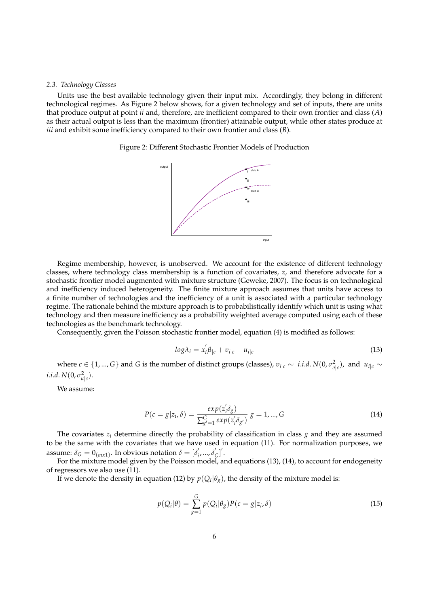#### *2.3. Technology Classes*

Units use the best available technology given their input mix. Accordingly, they belong in different technological regimes. As Figure 2 below shows, for a given technology and set of inputs, there are units that produce output at point *ii* and, therefore, are inefficient compared to their own frontier and class (*A*) as their actual output is less than the maximum (frontier) attainable output, while other states produce at *iii* and exhibit some inefficiency compared to their own frontier and class (*B*).

Figure 2: Different Stochastic Frontier Models of Production



Regime membership, however, is unobserved. We account for the existence of different technology classes, where technology class membership is a function of covariates, *z*, and therefore advocate for a stochastic frontier model augmented with mixture structure (Geweke, 2007). The focus is on technological and inefficiency induced heterogeneity. The finite mixture approach assumes that units have access to a finite number of technologies and the inefficiency of a unit is associated with a particular technology regime. The rationale behind the mixture approach is to probabilistically identify which unit is using what technology and then measure inefficiency as a probability weighted average computed using each of these technologies as the benchmark technology.

Consequently, given the Poisson stochastic frontier model, equation (4) is modified as follows:

$$
log\lambda_i = x_i' \beta_{|c} + v_{i|c} - u_{i|c}
$$
\n
$$
(13)
$$

 $w$ here  $c \in \{1, ..., G\}$  and  $G$  is the number of distinct groups (classes),  $v_{i|c} \sim i.i.d. N(0, \sigma_{v|c}^2)$ , and  $u_{i|c} \sim$ *i*.*i*.*d*. *N*(0,  $\sigma_{u|c}^2$ ).

We assume:

$$
P(c = g|z_i, \delta) = \frac{exp(z_i^{\prime} \delta_g)}{\sum_{g'=1}^{G} exp(z_i^{\prime} \delta_{g'})} g = 1, ..., G
$$
\n(14)

The covariates  $z_i$  determine directly the probability of classification in class  $g$  and they are assumed to be the same with the covariates that we have used in equation (11). For normalization purposes, we assume:  $\delta_G = 0_{(mx1)}$ . In obvious notation  $\delta = [\delta'_i]$ *i* , ..., *δ* ′ *G* ] ′ .

For the mixture model given by the Poisson model, and equations (13), (14), to account for endogeneity of regressors we also use (11).

If we denote the density in equation (12) by  $p(Q_i|\theta_g)$ , the density of the mixture model is:

$$
p(Q_i|\theta) = \sum_{g=1}^{G} p(Q_i|\theta_g)P(c=g|z_i,\delta)
$$
\n(15)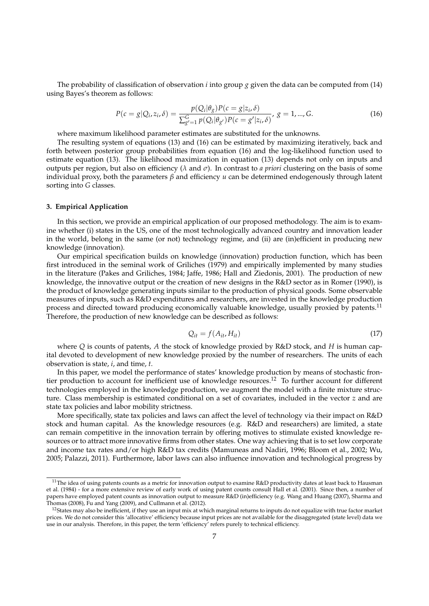The probability of classification of observation *i* into group *g* given the data can be computed from (14) using Bayes's theorem as follows:

$$
P(c = g|Q_i, z_i, \delta) = \frac{p(Q_i|\theta_g)P(c = g|z_i, \delta)}{\sum_{g'=1}^{G} p(Q_i|\theta_{g'})P(c = g'|z_i, \delta)}, g = 1, ..., G.
$$
 (16)

where maximum likelihood parameter estimates are substituted for the unknowns.

The resulting system of equations (13) and (16) can be estimated by maximizing iteratively, back and forth between posterior group probabilities from equation (16) and the log-likelihood function used to estimate equation (13). The likelihood maximization in equation (13) depends not only on inputs and outputs per region, but also on efficiency (*λ* and *σ*). In contrast to *a priori* clustering on the basis of some individual proxy, both the parameters *β* and efficiency *u* can be determined endogenously through latent sorting into *G* classes.

#### **3. Empirical Application**

In this section, we provide an empirical application of our proposed methodology. The aim is to examine whether (i) states in the US, one of the most technologically advanced country and innovation leader in the world, belong in the same (or not) technology regime, and (ii) are (in)efficient in producing new knowledge (innovation).

Our empirical specification builds on knowledge (innovation) production function, which has been first introduced in the seminal work of Griliches (1979) and empirically implemented by many studies in the literature (Pakes and Griliches, 1984; Jaffe, 1986; Hall and Ziedonis, 2001). The production of new knowledge, the innovative output or the creation of new designs in the R&D sector as in Romer (1990), is the product of knowledge generating inputs similar to the production of physical goods. Some observable measures of inputs, such as R&D expenditures and researchers, are invested in the knowledge production process and directed toward producing economically valuable knowledge, usually proxied by patents.<sup>11</sup> Therefore, the production of new knowledge can be described as follows:

$$
Q_{it} = f(A_{it}, H_{it})
$$
\n<sup>(17)</sup>

where *Q* is counts of patents, *A* the stock of knowledge proxied by R&D stock, and *H* is human capital devoted to development of new knowledge proxied by the number of researchers. The units of each observation is state, *i*, and time, *t*.

In this paper, we model the performance of states' knowledge production by means of stochastic frontier production to account for inefficient use of knowledge resources.<sup>12</sup> To further account for different technologies employed in the knowledge production, we augment the model with a finite mixture structure. Class membership is estimated conditional on a set of covariates, included in the vector *z* and are state tax policies and labor mobility strictness.

More specifically, state tax policies and laws can affect the level of technology via their impact on R&D stock and human capital. As the knowledge resources (e.g. R&D and researchers) are limited, a state can remain competitive in the innovation terrain by offering motives to stimulate existed knowledge resources or to attract more innovative firms from other states. One way achieving that is to set low corporate and income tax rates and/or high R&D tax credits (Mamuneas and Nadiri, 1996; Bloom et al., 2002; Wu, 2005; Palazzi, 2011). Furthermore, labor laws can also influence innovation and technological progress by

<sup>&</sup>lt;sup>11</sup>The idea of using patents counts as a metric for innovation output to examine  $R&D$  productivity dates at least back to Hausman et al. (1984) - for a more extensive review of early work of using patent counts consult Hall et al. (2001). Since then, a number of papers have employed patent counts as innovation output to measure R&D (in)efficiency (e.g. Wang and Huang (2007), Sharma and Thomas (2008), Fu and Yang (2009), and Cullmann et al. (2012).

 $12$ States may also be inefficient, if they use an input mix at which marginal returns to inputs do not equalize with true factor market prices. We do not consider this 'allocative' efficiency because input prices are not available for the disaggregated (state level) data we use in our analysis. Therefore, in this paper, the term 'efficiency' refers purely to technical efficiency.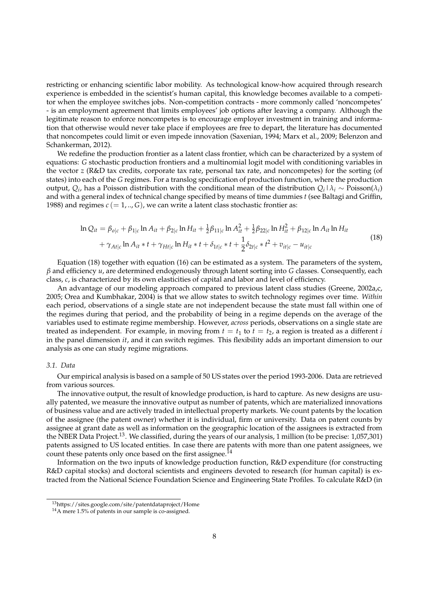restricting or enhancing scientific labor mobility. As technological know-how acquired through research experience is embedded in the scientist's human capital, this knowledge becomes available to a competitor when the employee switches jobs. Non-competition contracts - more commonly called 'noncompetes' - is an employment agreement that limits employees' job options after leaving a company. Although the legitimate reason to enforce noncompetes is to encourage employer investment in training and information that otherwise would never take place if employees are free to depart, the literature has documented that noncompetes could limit or even impede innovation (Saxenian, 1994; Marx et al., 2009; Belenzon and Schankerman, 2012).

We redefine the production frontier as a latent class frontier, which can be characterized by a system of equations: *G* stochastic production frontiers and a multinomial logit model with conditioning variables in the vector *z* (R&D tax credits, corporate tax rate, personal tax rate, and noncompetes) for the sorting (of states) into each of the *G* regimes. For a translog specification of production function, where the production output,  $Q_i$ , has a Poisson distribution with the conditional mean of the distribution  $Q_i \mid \lambda_i \sim \text{Poisson}(\lambda_i)$ and with a general index of technical change specified by means of time dummies *t* (see Baltagi and Griffin, 1988) and regimes  $c (= 1, ..., G)$ , we can write a latent class stochastic frontier as:

$$
\ln Q_{it} = \beta_{o|c} + \beta_{1|c} \ln A_{it} + \beta_{2|c} \ln H_{it} + \frac{1}{2}\beta_{11|c} \ln A_{it}^2 + \frac{1}{2}\beta_{22|c} \ln H_{it}^2 + \beta_{12|c} \ln A_{it} \ln H_{it}
$$
  
+  $\gamma_{At|c} \ln A_{it} * t + \gamma_{Ht|c} \ln H_{it} * t + \delta_{1t|c} * t + \frac{1}{2}\delta_{2t|c} * t^2 + v_{it|c} - u_{it|c}$  (18)

Equation (18) together with equation (16) can be estimated as a system. The parameters of the system, *β* and efficiency *u*, are determined endogenously through latent sorting into *G* classes. Consequently, each class, *c*, is characterized by its own elasticities of capital and labor and level of efficiency.

An advantage of our modeling approach compared to previous latent class studies (Greene, 2002a,c, 2005; Orea and Kumbhakar, 2004) is that we allow states to switch technology regimes over time. *Within* each period, observations of a single state are not independent because the state must fall within one of the regimes during that period, and the probability of being in a regime depends on the average of the variables used to estimate regime membership. However, *across* periods, observations on a single state are treated as independent. For example, in moving from  $t = t_1$  to  $t = t_2$ , a region is treated as a different *i* in the panel dimension *it*, and it can switch regimes. This flexibility adds an important dimension to our analysis as one can study regime migrations.

#### *3.1. Data*

Our empirical analysis is based on a sample of 50 US states over the period 1993-2006. Data are retrieved from various sources.

The innovative output, the result of knowledge production, is hard to capture. As new designs are usually patented, we measure the innovative output as number of patents, which are materialized innovations of business value and are actively traded in intellectual property markets. We count patents by the location of the assignee (the patent owner) whether it is individual, firm or university. Data on patent counts by assignee at grant date as well as information on the geographic location of the assignees is extracted from the NBER Data Project.<sup>13</sup>. We classified, during the years of our analysis, 1 million (to be precise: 1,057,301) patents assigned to US located entities. In case there are patents with more than one patent assignees, we count these patents only once based on the first assignee.<sup>14</sup>

Information on the two inputs of knowledge production function, R&D expenditure (for constructing R&D capital stocks) and doctoral scientists and engineers devoted to research (for human capital) is extracted from the National Science Foundation Science and Engineering State Profiles. To calculate R&D (in

<sup>13</sup>https://sites.google.com/site/patentdataproject/Home

<sup>&</sup>lt;sup>14</sup>A mere 1.5% of patents in our sample is co-assigned.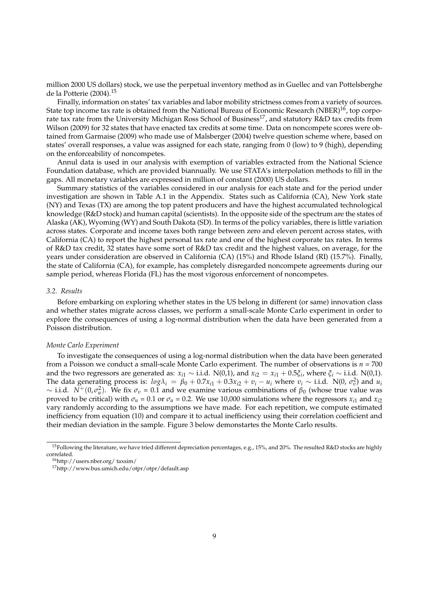million 2000 US dollars) stock, we use the perpetual inventory method as in Guellec and van Pottelsberghe de la Potterie (2004).<sup>15</sup>

Finally, information on states' tax variables and labor mobility strictness comes from a variety of sources. State top income tax rate is obtained from the National Bureau of Economic Research (NBER)<sup>16</sup>, top corporate tax rate from the University Michigan Ross School of Business<sup>17</sup>, and statutory R&D tax credits from Wilson (2009) for 32 states that have enacted tax credits at some time. Data on noncompete scores were obtained from Garmaise (2009) who made use of Malsberger (2004) twelve question scheme where, based on states' overall responses, a value was assigned for each state, ranging from 0 (low) to 9 (high), depending on the enforceability of noncompetes.

Annul data is used in our analysis with exemption of variables extracted from the National Science Foundation database, which are provided biannually. We use STATA's interpolation methods to fill in the gaps. All monetary variables are expressed in million of constant (2000) US dollars.

Summary statistics of the variables considered in our analysis for each state and for the period under investigation are shown in Table A.1 in the Appendix. States such as California (CA), New York state (NY) and Texas (TX) are among the top patent producers and have the highest accumulated technological knowledge (R&D stock) and human capital (scientists). In the opposite side of the spectrum are the states of Alaska (AK), Wyoming (WY) and South Dakota (SD). In terms of the policy variables, there is little variation across states. Corporate and income taxes both range between zero and eleven percent across states, with California (CA) to report the highest personal tax rate and one of the highest corporate tax rates. In terms of R&D tax credit, 32 states have some sort of R&D tax credit and the highest values, on average, for the years under consideration are observed in California (CA) (15%) and Rhode Island (RI) (15.7%). Finally, the state of California (CA), for example, has completely disregarded noncompete agreements during our sample period, whereas Florida (FL) has the most vigorous enforcement of noncompetes.

#### *3.2. Results*

Before embarking on exploring whether states in the US belong in different (or same) innovation class and whether states migrate across classes, we perform a small-scale Monte Carlo experiment in order to explore the consequences of using a log-normal distribution when the data have been generated from a Poisson distribution.

#### *Monte Carlo Experiment*

To investigate the consequences of using a log-normal distribution when the data have been generated from a Poisson we conduct a small-scale Monte Carlo experiment. The number of observations is  $n = 700$ and the two regressors are generated as:  $x_{i1} \sim$  i.i.d. N(0,1), and  $x_{i2} = x_{i1} + 0.5\xi_i$ , where  $\xi_i \sim$  i.i.d. N(0,1). The data generating process is:  $log\lambda_i = \beta_0 + 0.7x_{i1} + 0.3x_{i2} + v_i - u_i$  where  $v_i \sim$  i.i.d. N(0,  $\sigma_v^2$ ) and  $u_i$  $\sim$  i.i.d.  $N^+(0, \sigma_u^2)$ . We fix  $\sigma_v = 0.1$  and we examine various combinations of  $\beta_0$  (whose true value was proved to be critical) with  $\sigma_u = 0.1$  or  $\sigma_u = 0.2$ . We use 10,000 simulations where the regressors  $x_{i1}$  and  $x_{i2}$ vary randomly according to the assumptions we have made. For each repetition, we compute estimated inefficiency from equation (10) and compare it to actual inefficiency using their correlation coefficient and their median deviation in the sample. Figure 3 below demonstartes the Monte Carlo results.

<sup>15</sup>Following the literature, we have tried different depreciation percentages, e.g., 15%, and 20%. The resulted R&D stocks are highly correlated.

<sup>16</sup>http://users.nber.org/ taxsim/

<sup>17</sup>http://www.bus.umich.edu/otpr/otpr/default.asp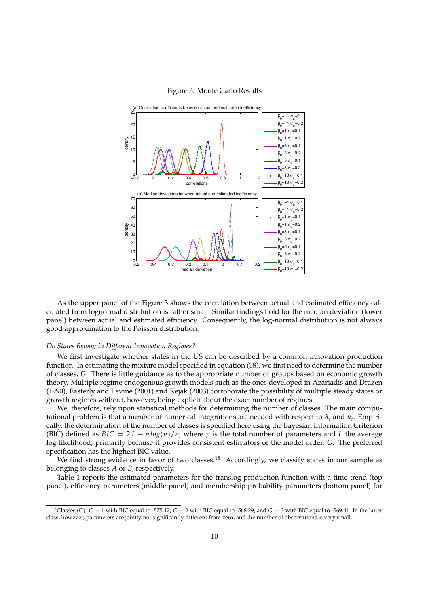

#### Figure 3: Monte Carlo Results

As the upper panel of the Figure 3 shows the correlation between actual and estimated efficiency calculated from lognormal distribution is rather small. Similar findings hold for the median deviation (lower panel) between actual and estimated efficiency. Consequently, the log-normal distribution is not always good approximation to the Poisson distribution.

## *Do States Belong in Different Innovation Regimes?*

We first investigate whether states in the US can be described by a common innovation production function. In estimating the mixture model specified in equation (18), we first need to determine the number of classes, *G*. There is little guidance as to the appropriate number of groups based on economic growth theory. Multiple regime endogenous growth models such as the ones developed in Azariadis and Drazen (1990), Easterly and Levine (2001) and Kejak (2003) corroborate the possibility of multiple steady states or growth regimes without, however, being explicit about the exact number of regimes.

We, therefore, rely upon statistical methods for determining the number of classes. The main computational problem is that a number of numerical integrations are needed with respect to  $\lambda_i$  and  $u_i$ . Empirically, the determination of the number of classes is specified here using the Bayesian Information Criterion (BIC) defined as  $BIC = 2L - p \log(n)/n$ , where p is the total number of parameters and L the average log-likelihood, primarily because it provides consistent estimators of the model order, *G*. The preferred specification has the highest BIC value.

We find strong evidence in favor of two classes.<sup>18</sup> Accordingly, we classify states in our sample as belonging to classes *A* or *B*, respectively.

Table 1 reports the estimated parameters for the translog production function with a time trend (top panel), efficiency parameters (middle panel) and membership probability parameters (bottom panel) for

<sup>&</sup>lt;sup>18</sup>Classes (*G*):  $G = 1$  with BIC equal to -575.12;  $G = 2$  with BIC equal to -568.29; and  $G = 3$  with BIC equal to -569.41. In the latter class, however, parameters are jointly not significantly different from zero, and the number of observations is very small.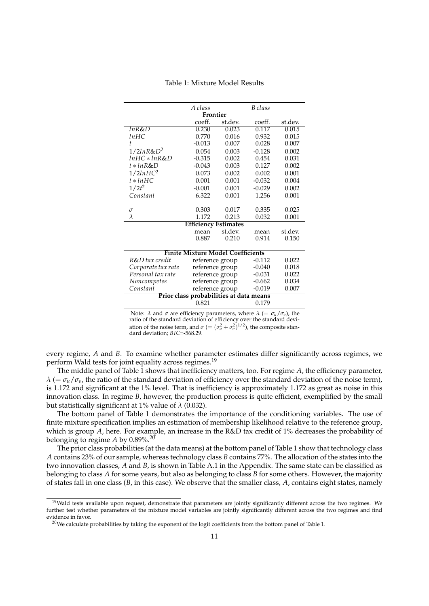|                                          | Frontier                    |                                                                     |          |         |  |  |  |  |  |  |
|------------------------------------------|-----------------------------|---------------------------------------------------------------------|----------|---------|--|--|--|--|--|--|
|                                          | coeff.                      | st.dev.                                                             | coeff.   | st.dev. |  |  |  |  |  |  |
| lnR&D                                    | 0.230                       | 0.023                                                               | 0.117    | 0.015   |  |  |  |  |  |  |
| lnHC                                     | 0.770                       | 0.016                                                               | 0.932    | 0.015   |  |  |  |  |  |  |
| t.                                       | $-0.013$                    | 0.007                                                               | 0.028    | 0.007   |  |  |  |  |  |  |
| $1/2 ln R$ &D <sup>2</sup>               | 0.054                       | 0.003                                                               | $-0.128$ | 0.002   |  |  |  |  |  |  |
| InHC * InR&D                             | $-0.315$                    | 0.002                                                               | 0.454    | 0.031   |  |  |  |  |  |  |
| $t * lnR&D$                              | $-0.043$                    | 0.003                                                               | 0.127    | 0.002   |  |  |  |  |  |  |
| 1/2lnHC <sup>2</sup>                     | 0.073                       | 0.002                                                               | 0.002    | 0.001   |  |  |  |  |  |  |
| $t * lnHC$                               | 0.001                       | 0.001                                                               | $-0.032$ | 0.004   |  |  |  |  |  |  |
| $1/2t^2$                                 | $-0.001$                    | 0.001                                                               | $-0.029$ | 0.002   |  |  |  |  |  |  |
| Constant                                 | 6.322                       | 0.001                                                               | 1.256    | 0.001   |  |  |  |  |  |  |
|                                          |                             |                                                                     |          |         |  |  |  |  |  |  |
| $\sigma$                                 | 0.303                       | 0.017                                                               | 0.335    | 0.025   |  |  |  |  |  |  |
| $\lambda$                                | 1.172                       | 0.213                                                               | 0.032    | 0.001   |  |  |  |  |  |  |
|                                          | <b>Efficiency Estimates</b> |                                                                     |          |         |  |  |  |  |  |  |
|                                          | mean                        | st.dev.                                                             | mean     | st.dev. |  |  |  |  |  |  |
|                                          | 0.887                       | 0.210                                                               | 0.914    | 0.150   |  |  |  |  |  |  |
| <b>Finite Mixture Model Coefficients</b> |                             |                                                                     |          |         |  |  |  |  |  |  |
|                                          |                             |                                                                     |          |         |  |  |  |  |  |  |
| R&D tax credit                           | reference group             |                                                                     | $-0.112$ | 0.022   |  |  |  |  |  |  |
| Corporate tax rate                       | reference group             |                                                                     | $-0.040$ | 0.018   |  |  |  |  |  |  |
| Personal tax rate                        | reference group             |                                                                     | $-0.031$ | 0.022   |  |  |  |  |  |  |
| Noncompetes                              |                             | 0.034                                                               |          |         |  |  |  |  |  |  |
| Constant                                 |                             | $-0.662$<br>reference group<br>reference group<br>$-0.019$<br>0.007 |          |         |  |  |  |  |  |  |
| Prior class probabilities at data means  |                             |                                                                     |          |         |  |  |  |  |  |  |
| 0.821<br>0.179                           |                             |                                                                     |          |         |  |  |  |  |  |  |

Table 1: Mixture Model Results

Note: *λ* and *σ* are efficiency parameters, where *λ* (=  $\sigma_u / \sigma_v$ ), the ratio of the standard deviation of the noise term, and  $\sigma$  (=  $(\sigma_u^2 + \sigma_v^2)^{1/2}$ ), the composite standard deviation; *BIC*=-568.29.

every regime, *A* and *B*. To examine whether parameter estimates differ significantly across regimes, we perform Wald tests for joint equality across regimes.<sup>19</sup>

The middle panel of Table 1 shows that inefficiency matters, too. For regime *A*, the efficiency parameter,  $\lambda$  (=  $\sigma_u/\sigma_v$ , the ratio of the standard deviation of efficiency over the standard deviation of the noise term), is 1.172 and significant at the 1% level. That is inefficiency is approximately 1.172 as great as noise in this innovation class. In regime *B*, however, the production process is quite efficient, exemplified by the small but statistically significant at 1% value of *λ* (0.032).

The bottom panel of Table 1 demonstrates the importance of the conditioning variables. The use of finite mixture specification implies an estimation of membership likelihood relative to the reference group, which is group *A*, here. For example, an increase in the R&D tax credit of 1% decreases the probability of belonging to regime  $A$  by 0.89%.<sup>20</sup>

The prior class probabilities (at the data means) at the bottom panel of Table 1 show that technology class *A* contains 23% of our sample, whereas technology class *B* contains 77%. The allocation of the states into the two innovation classes, *A* and *B*, is shown in Table A.1 in the Appendix. The same state can be classified as belonging to class *A* for some years, but also as belonging to class *B* for some others. However, the majority of states fall in one class (*B*, in this case). We observe that the smaller class, *A*, contains eight states, namely

 $19$ Wald tests available upon request, demonstrate that parameters are jointly significantly different across the two regimes. We further test whether parameters of the mixture model variables are jointly significantly different across the two regimes and find evidence in favor.

 $20$  We calculate probabilities by taking the exponent of the logit coefficients from the bottom panel of Table 1.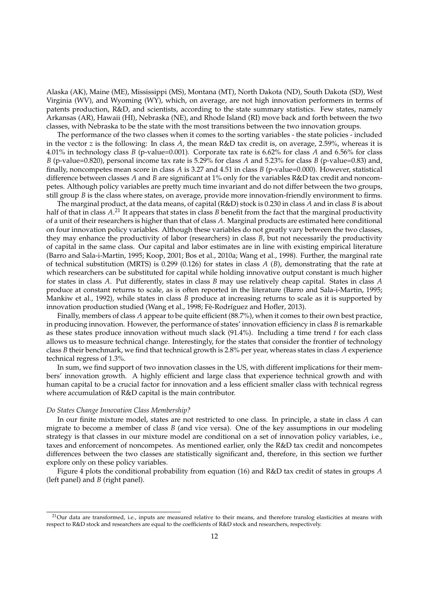Alaska (AK), Maine (ME), Mississippi (MS), Montana (MT), North Dakota (ND), South Dakota (SD), West Virginia (WV), and Wyoming (WY), which, on average, are not high innovation performers in terms of patents production, R&D, and scientists, according to the state summary statistics. Few states, namely Arkansas (AR), Hawaii (HI), Nebraska (NE), and Rhode Island (RI) move back and forth between the two classes, with Nebraska to be the state with the most transitions between the two innovation groups.

The performance of the two classes when it comes to the sorting variables - the state policies - included in the vector *z* is the following: In class *A*, the mean R&D tax credit is, on average, 2.59%, whereas it is 4.01% in technology class *B* (p-value=0.001). Corporate tax rate is 6.62% for class *A* and 6.56% for class *B* (p-value=0.820), personal income tax rate is 5.29% for class *A* and 5.23% for class *B* (p-value=0.83) and, finally, noncompetes mean score in class *A* is 3.27 and 4.51 in class *B* (p-value=0.000). However, statistical difference between classes *A* and *B* are significant at 1% only for the variables R&D tax credit and noncompetes. Although policy variables are pretty much time invariant and do not differ between the two groups, still group *B* is the class where states, on average, provide more innovation-friendly environment to firms.

The marginal product, at the data means, of capital (R&D) stock is 0.230 in class *A* and in class *B* is about half of that in class A.<sup>21</sup> It appears that states in class *B* benefit from the fact that the marginal productivity of a unit of their researchers is higher than that of class *A*. Marginal products are estimated here conditional on four innovation policy variables. Although these variables do not greatly vary between the two classes, they may enhance the productivity of labor (researchers) in class *B*, but not necessarily the productivity of capital in the same class. Our capital and labor estimates are in line with existing empirical literature (Barro and Sala-i-Martin, 1995; Koop, 2001; Bos et al., 2010a; Wang et al., 1998). Further, the marginal rate of technical substitution (MRTS) is 0.299 (0.126) for states in class *A* (*B*), demonstrating that the rate at which researchers can be substituted for capital while holding innovative output constant is much higher for states in class *A*. Put differently, states in class *B* may use relatively cheap capital. States in class *A* produce at constant returns to scale, as is often reported in the literature (Barro and Sala-i-Martin, 1995; Mankiw et al., 1992), while states in class *B* produce at increasing returns to scale as it is supported by innovation production studied (Wang et al., 1998; Fè-Rodríguez and Hofler, 2013).

Finally, members of class *A* appear to be quite efficient (88.7%), when it comes to their own best practice, in producing innovation. However, the performance of states' innovation efficiency in class *B* is remarkable as these states produce innovation without much slack (91.4%). Including a time trend *t* for each class allows us to measure technical change. Interestingly, for the states that consider the frontier of technology class *B* their benchmark, we find that technical growth is 2.8% per year, whereas states in class *A* experience technical regress of 1.3%.

In sum, we find support of two innovation classes in the US, with different implications for their members' innovation growth. A highly efficient and large class that experience technical growth and with human capital to be a crucial factor for innovation and a less efficient smaller class with technical regress where accumulation of R&D capital is the main contributor.

#### *Do States Change Innovation Class Membership?*

In our finite mixture model, states are not restricted to one class. In principle, a state in class *A* can migrate to become a member of class *B* (and vice versa). One of the key assumptions in our modeling strategy is that classes in our mixture model are conditional on a set of innovation policy variables, i.e., taxes and enforcement of noncompetes. As mentioned earlier, only the R&D tax credit and noncompetes differences between the two classes are statistically significant and, therefore, in this section we further explore only on these policy variables.

Figure 4 plots the conditional probability from equation (16) and R&D tax credit of states in groups *A* (left panel) and *B* (right panel).

 $^{21}$ Our data are transformed, i.e., inputs are measured relative to their means, and therefore translog elasticities at means with respect to R&D stock and researchers are equal to the coefficients of R&D stock and researchers, respectively.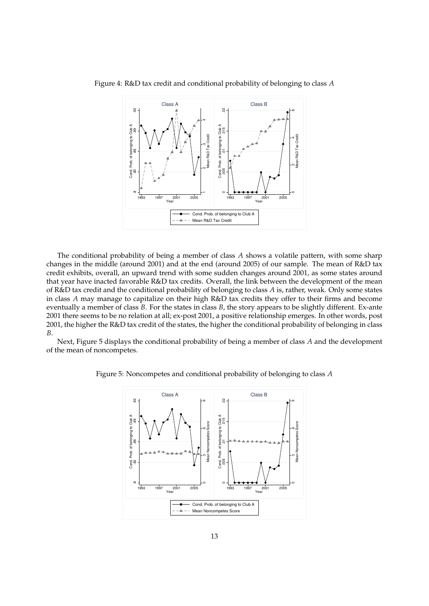

Figure 4: R&D tax credit and conditional probability of belonging to class *A*

The conditional probability of being a member of class *A* shows a volatile pattern, with some sharp changes in the middle (around 2001) and at the end (around 2005) of our sample. The mean of R&D tax credit exhibits, overall, an upward trend with some sudden changes around 2001, as some states around that year have inacted favorable R&D tax credits. Overall, the link between the development of the mean of R&D tax credit and the conditional probability of belonging to class *A* is, rather, weak. Only some states in class *A* may manage to capitalize on their high R&D tax credits they offer to their firms and become eventually a member of class *B*. For the states in class *B*, the story appears to be slightly different. Ex-ante 2001 there seems to be no relation at all; ex-post 2001, a positive relationship emerges. In other words, post 2001, the higher the R&D tax credit of the states, the higher the conditional probability of belonging in class *B*.

Next, Figure 5 displays the conditional probability of being a member of class *A* and the development of the mean of noncompetes.



Figure 5: Noncompetes and conditional probability of belonging to class *A*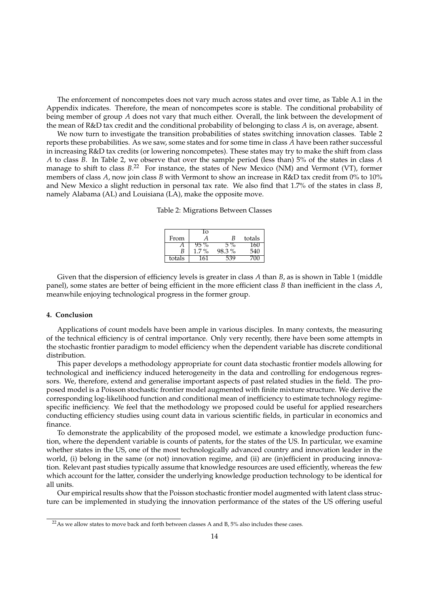The enforcement of noncompetes does not vary much across states and over time, as Table A.1 in the Appendix indicates. Therefore, the mean of noncompetes score is stable. The conditional probability of being member of group *A* does not vary that much either. Overall, the link between the development of the mean of R&D tax credit and the conditional probability of belonging to class *A* is, on average, absent.

We now turn to investigate the transition probabilities of states switching innovation classes. Table 2 reports these probabilities. As we saw, some states and for some time in class *A* have been rather successful in increasing R&D tax credits (or lowering noncompetes). These states may try to make the shift from class *A* to class *B*. In Table 2, we observe that over the sample period (less than) 5% of the states in class *A* manage to shift to class  $B^{22}$  For instance, the states of New Mexico (NM) and Vermont (VT), former members of class *A*, now join class *B* with Vermont to show an increase in R&D tax credit from 0% to 10% and New Mexico a slight reduction in personal tax rate. We also find that 1.7% of the states in class *B*, namely Alabama (AL) and Louisiana (LA), make the opposite move.

Table 2: Migrations Between Classes

|        | . O       |       |        |
|--------|-----------|-------|--------|
| From   | Α         | В     | totals |
|        |           | $\%$  |        |
| В      | $\cdot$ % | 98.3% | 540    |
| totals | h         |       |        |

Given that the dispersion of efficiency levels is greater in class *A* than *B*, as is shown in Table 1 (middle panel), some states are better of being efficient in the more efficient class *B* than inefficient in the class *A*, meanwhile enjoying technological progress in the former group.

#### **4. Conclusion**

Applications of count models have been ample in various disciples. In many contexts, the measuring of the technical efficiency is of central importance. Only very recently, there have been some attempts in the stochastic frontier paradigm to model efficiency when the dependent variable has discrete conditional distribution.

This paper develops a methodology appropriate for count data stochastic frontier models allowing for technological and inefficiency induced heterogeneity in the data and controlling for endogenous regressors. We, therefore, extend and generalise important aspects of past related studies in the field. The proposed model is a Poisson stochastic frontier model augmented with finite mixture structure. We derive the corresponding log-likelihood function and conditional mean of inefficiency to estimate technology regimespecific inefficiency. We feel that the methodology we proposed could be useful for applied researchers conducting efficiency studies using count data in various scientific fields, in particular in economics and finance.

To demonstrate the applicability of the proposed model, we estimate a knowledge production function, where the dependent variable is counts of patents, for the states of the US. In particular, we examine whether states in the US, one of the most technologically advanced country and innovation leader in the world, (i) belong in the same (or not) innovation regime, and (ii) are (in)efficient in producing innovation. Relevant past studies typically assume that knowledge resources are used efficiently, whereas the few which account for the latter, consider the underlying knowledge production technology to be identical for all units.

Our empirical results show that the Poisson stochastic frontier model augmented with latent class structure can be implemented in studying the innovation performance of the states of the US offering useful

 $22$ As we allow states to move back and forth between classes A and B, 5% also includes these cases.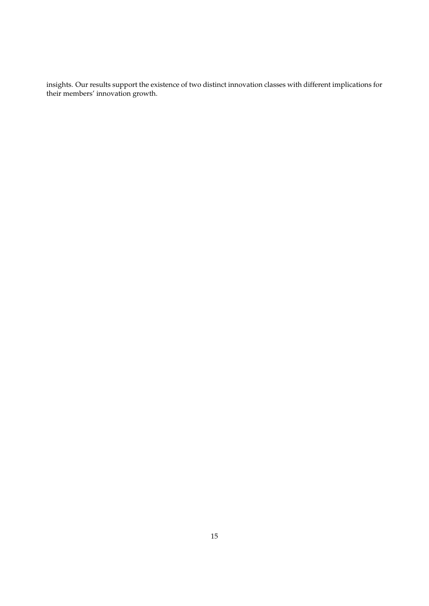insights. Our results support the existence of two distinct innovation classes with different implications for their members' innovation growth.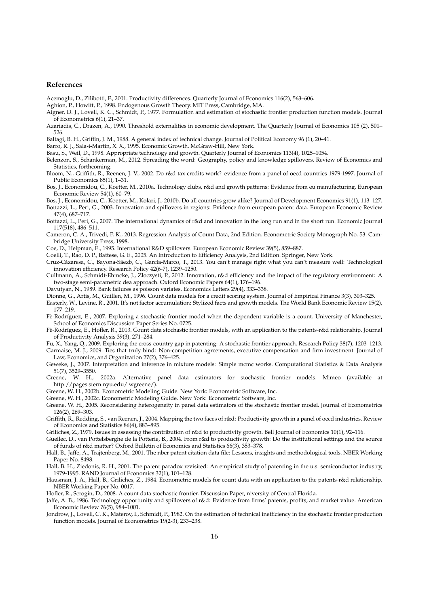#### **References**

Acemoglu, D., Zilibotti, F., 2001. Productivity differences. Quarterly Journal of Economics 116(2), 563–606.

- Aghion, P., Howitt, P., 1998. Endogenous Growth Theory. MIT Press, Cambridge, MA.
- Aigner, D. J., Lovell, K. C., Schmidt, P., 1977. Formulation and estimation of stochastic frontier production function models. Journal of Econometrics 6(1), 21–37.
- Azariadis, C., Drazen, A., 1990. Threshold externalities in economic development. The Quarterly Journal of Economics 105 (2), 501– 526.

Baltagi, B. H., Griffin, J. M., 1988. A general index of technical change. Journal of Political Economy 96 (1), 20–41.

Barro, R. J., Sala-i-Martin, X. X., 1995. Economic Growth. McGraw-Hill, New York.

Basu, S., Weil, D., 1998. Appropriate technology and growth. Quarterly Journal of Economics 113(4), 1025–1054.

Belenzon, S., Schankerman, M., 2012. Spreading the word: Geography, policy and knowledge spillovers. Review of Economics and Statistics, forthcoming.

Bloom, N., Griffith, R., Reenen, J. V., 2002. Do r&d tax credits work? evidence from a panel of oecd countries 1979-1997. Journal of Public Economics 85(1), 1–31.

Bos, J., Economidou, C., Koetter, M., 2010a. Technology clubs, r&d and growth patterns: Evidence from eu manufacturing. European Economic Review 54(1), 60–79.

Bos, J., Economidou, C., Koetter, M., Kolari, J., 2010b. Do all countries grow alike? Journal of Development Economics 91(1), 113–127. Bottazzi, L., Peri, G., 2003. Innovation and spillovers in regions: Evidence from european patent data. European Economic Review

47(4), 687–717. Bottazzi, L., Peri, G., 2007. The international dynamics of r&d and innovation in the long run and in the short run. Economic Journal 117(518), 486–511.

Cameron, C. A., Trivedi, P. K., 2013. Regression Analysis of Count Data, 2nd Edition. Econometric Society Monograph No. 53. Cambridge University Press, 1998.

Coe, D., Helpman, E., 1995. International R&D spillovers. European Economic Review 39(5), 859–887.

Coelli, T., Rao, D. P., Battese, G. E., 2005. An Introduction to Efficiency Analysis, 2nd Edition. Springer, New York.

Cruz-Cázaresa, C., Bayona-Sáezb, C., García-Marco, T., 2013. You can't manage right what you can't measure well: Technological innovation efficiency. Research Policy 42(6-7), 1239–1250.

Cullmann, A., Schmidt-Ehmcke, J., Zloczysti, P., 2012. Innovation, r&d efficiency and the impact of the regulatory environment: A two-stage semi-parametric dea approach. Oxford Economic Papers 64(1), 176–196.

Davutyan, N., 1989. Bank failures as poisson variates. Economics Letters 29(4), 333–338.

Dionne, G., Artis, M., Guillen, M., 1996. Count data models for a credit scoring system. Journal of Empirical Finance 3(3), 303–325.

Easterly, W., Levine, R., 2001. It's not factor accumulation: Stylized facts and growth models. The World Bank Economic Review 15(2), 177–219.

- Fè-Rodríguez, E., 2007. Exploring a stochastic frontier model when the dependent variable is a count. University of Manchester, School of Economics Discussion Paper Series No. 0725.
- Fè-Rodríguez, E., Hofler, R., 2013. Count data stochastic frontier models, with an application to the patents-r&d relationship. Journal of Productivity Analysis 39(3), 271–284.

Fu, X., Yang, Q., 2009. Exploring the cross-country gap in patenting: A stochastic frontier approach. Research Policy 38(7), 1203–1213. Garmaise, M. J., 2009. Ties that truly bind: Non-competition agreements, executive compensation and firm investment. Journal of Law, Economics, and Organization 27(2), 376–425.

- Geweke, J., 2007. Interpretation and inference in mixture models: Simple mcmc works. Computational Statistics & Data Analysis 51(7), 3529–3550.
- Greene, W. H., 2002a. Alternative panel data estimators for stochastic frontier models. Mimeo (available at http://pages.stern.nyu.edu/ wgreene/).
- Greene, W. H., 2002b. Econometric Modeling Guide. New York: Econometric Software, Inc.

Greene, W. H., 2002c. Econometric Modeling Guide. New York: Econometric Software, Inc.

Greene, W. H., 2005. Reconsidering heterogeneity in panel data estimators of the stochastic frontier model. Journal of Econometrics 126(2), 269–303.

Griffith, R., Redding, S., van Reenen, J., 2004. Mapping the two faces of r&d: Productivity growth in a panel of oecd industries. Review of Economics and Statistics 86(4), 883–895.

Griliches, Z., 1979. Issues in assessing the contribution of r&d to productivity growth. Bell Journal of Economics 10(1), 92–116.

Guellec, D., van Pottelsberghe de la Potterie, B., 2004. From r&d to productivity growth: Do the institutional settings and the source of funds of r&d matter? Oxford Bulletin of Economics and Statistics 66(3), 353–378.

Hall, B., Jaffe, A., Trajtenberg, M., 2001. The nber patent citation data file: Lessons, insights and methodological tools. NBER Working Paper No. 8498.

Hall, B. H., Ziedonis, R. H., 2001. The patent paradox revisited: An empirical study of patenting in the u.s. semiconductor industry, 1979-1995. RAND Journal of Economics 32(1), 101–128.

Hausman, J. A., Hall, B., Griliches, Z., 1984. Econometric models for count data with an application to the patents-r&d relationship. NBER Working Paper No. 0017.

Hofler, R., Scrogin, D., 2008. A count data stochastic frontier. Discussion Paper, niversity of Central Florida.

Jaffe, A. B., 1986. Technology opportunity and spillovers of r&d: Evidence from firms' patents, profits, and market value. American Economic Review 76(5), 984–1001.

Jondrow, J., Lovell, C. K., Materov, I., Schmidt, P., 1982. On the estimation of technical inefficiency in the stochastic frontier production function models. Journal of Econometrics 19(2-3), 233–238.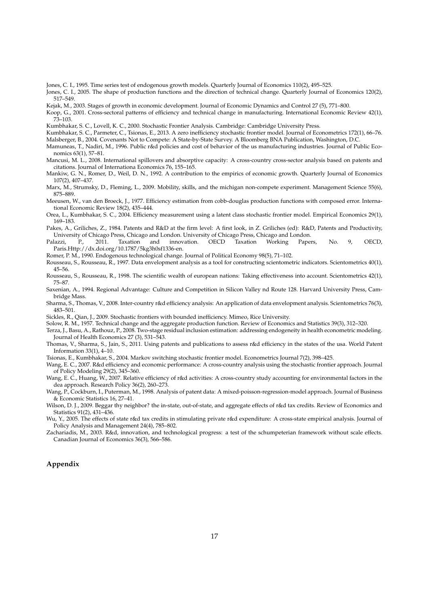Jones, C. I., 1995. Time series test of endogenous growth models. Quarterly Journal of Economics 110(2), 495–525.

Jones, C. I., 2005. The shape of production functions and the direction of technical change. Quarterly Journal of Economics 120(2), 517–549.

Kejak, M., 2003. Stages of growth in economic development. Journal of Economic Dynamics and Control 27 (5), 771–800.

Koop, G., 2001. Cross-sectoral patterns of efficiency and technical change in manufacturing. International Economic Review 42(1), 73–103.

Kumbhakar, S. C., Lovell, K. C., 2000. Stochastic Frontier Analysis. Cambridge: Cambridge University Press.

Kumbhakar, S. C., Parmeter, C., Tsionas, E., 2013. A zero inefficiency stochastic frontier model. Journal of Econometrics 172(1), 66–76.

Malsberger, B., 2004. Covenants Not to Compete: A State-by-State Survey. A Bloomberg BNA Publication, Washington, D.C.

Mamuneas, T., Nadiri, M., 1996. Public r&d policies and cost of behavior of the us manufacturing industries. Journal of Public Economics 63(1), 57–81.

Mancusi, M. L., 2008. International spillovers and absorptive capacity: A cross-country cross-sector analysis based on patents and citations. Journal of Internationa Economics 76, 155–165.

Mankiw, G. N., Romer, D., Weil, D. N., 1992. A contribution to the empirics of economic growth. Quarterly Journal of Economics 107(2), 407–437.

Marx, M., Strumsky, D., Fleming, L., 2009. Mobility, skills, and the michigan non-compete experiment. Management Science 55(6), 875–889.

Meeusen, W., van den Broeck, J., 1977. Efficiency estimation from cobb-douglas production functions with composed error. International Economic Review 18(2), 435–444.

Orea, L., Kumbhakar, S. C., 2004. Efficiency measurement using a latent class stochastic frontier model. Empirical Economics 29(1), 169–183.

Pakes, A., Griliches, Z., 1984. Patents and R&D at the firm level: A first look, in Z. Griliches (ed): R&D, Patents and Productivity, University of Chicago Press, Chicago and London. University of Chicago Press, Chicago and London.<br>
lazzi, P., 2011. Taxation and innovation. OECD Taxation Working Paper

Palazzi, P., 2011. Taxation and innovation. OECD Taxation Working Papers, No. 9, OECD, Paris.Http://dx.doi.org/10.1787/5kg3h0sf1336-en.

Romer, P. M., 1990. Endogenous technological change. Journal of Political Economy 98(5), 71–102.

Rousseau, S., Rousseau, R., 1997. Data envelopment analysis as a tool for constructing scientometric indicators. Scientometrics 40(1), 45–56.

Rousseau, S., Rousseau, R., 1998. The scientific wealth of european nations: Taking effectiveness into account. Scientometrics 42(1), 75–87.

Saxenian, A., 1994. Regional Advantage: Culture and Competition in Silicon Valley nd Route 128. Harvard University Press, Cambridge Mass.

Sharma, S., Thomas, V., 2008. Inter-country r&d efficiency analysis: An application of data envelopment analysis. Scientometrics 76(3), 483–501.

Sickles, R., Qian, J., 2009. Stochastic frontiers with bounded inefficiency. Mimeo, Rice University.

Solow, R. M., 1957. Technical change and the aggregate production function. Review of Economics and Statistics 39(3), 312–320.

Terza, J., Basu, A., Rathouz, P., 2008. Two-stage residual inclusion estimation: addressing endogeneity in health econometric modeling. Journal of Health Economics 27 (3), 531–543.

Thomas, V., Sharma, S., Jain, S., 2011. Using patents and publications to assess r&d efficiency in the states of the usa. World Patent Information 33(1), 4–10.

Tsionas, E., Kumbhakar, S., 2004. Markov switching stochastic frontier model. Econometrics Journal 7(2), 398–425.

Wang, E. C., 2007. R&d efficiency and economic performance: A cross-country analysis using the stochastic frontier approach. Journal of Policy Modeling 29(2), 345–360.

Wang, E. C., Huang, W., 2007. Relative efficiency of r&d activities: A cross-country study accounting for environmental factors in the dea approach. Research Policy 36(2), 260–273.

Wang, P., Cockburn, I., Puterman, M., 1998. Analysis of patent data: A mixed-poisson-regression-model approach. Journal of Business & Economic Statistics 16, 27–41.

Wilson, D. J., 2009. Beggar thy neighbor? the in-state, out-of-state, and aggregate effects of r&d tax credits. Review of Economics and Statistics 91(2), 431–436.

Wu, Y., 2005. The effects of state r&d tax credits in stimulating private r&d expenditure: A cross-state empirical analysis. Journal of Policy Analysis and Management 24(4), 785–802.

Zachariadis, M., 2003. R&d, innovation, and technological progress: a test of the schumpeterian framework without scale effects. Canadian Journal of Economics 36(3), 566–586.

#### **Appendix**